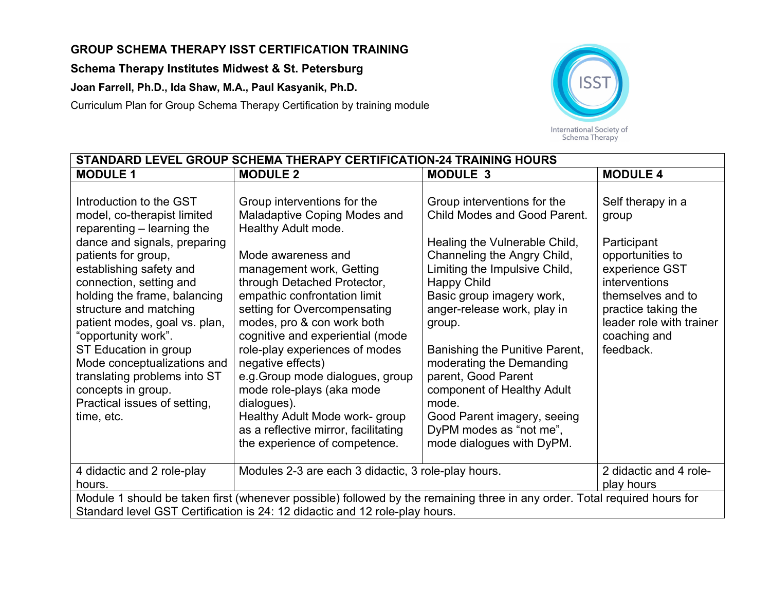## **GROUP SCHEMA THERAPY ISST CERTIFICATION TRAINING**

**Schema Therapy Institutes Midwest & St. Petersburg**

**Joan Farrell, Ph.D., Ida Shaw, M.A., Paul Kasyanik, Ph.D.**

Curriculum Plan for Group Schema Therapy Certification by training module



| STANDARD LEVEL GROUP SCHEMA THERAPY CERTIFICATION-24 TRAINING HOURS                                                                                                                                                                                                                                                                                                                                                                                                             |                                                                                                                                                                                                                                                                                                                                                                                                                                                                                                                                                         |                                                                                                                                                                                                                                                                                                                                                                                                                                                                             |                                                                                                                                                                                                       |  |
|---------------------------------------------------------------------------------------------------------------------------------------------------------------------------------------------------------------------------------------------------------------------------------------------------------------------------------------------------------------------------------------------------------------------------------------------------------------------------------|---------------------------------------------------------------------------------------------------------------------------------------------------------------------------------------------------------------------------------------------------------------------------------------------------------------------------------------------------------------------------------------------------------------------------------------------------------------------------------------------------------------------------------------------------------|-----------------------------------------------------------------------------------------------------------------------------------------------------------------------------------------------------------------------------------------------------------------------------------------------------------------------------------------------------------------------------------------------------------------------------------------------------------------------------|-------------------------------------------------------------------------------------------------------------------------------------------------------------------------------------------------------|--|
| <b>MODULE 1</b>                                                                                                                                                                                                                                                                                                                                                                                                                                                                 | <b>MODULE 2</b>                                                                                                                                                                                                                                                                                                                                                                                                                                                                                                                                         | <b>MODULE 3</b>                                                                                                                                                                                                                                                                                                                                                                                                                                                             | <b>MODULE 4</b>                                                                                                                                                                                       |  |
| Introduction to the GST<br>model, co-therapist limited<br>reparenting - learning the<br>dance and signals, preparing<br>patients for group,<br>establishing safety and<br>connection, setting and<br>holding the frame, balancing<br>structure and matching<br>patient modes, goal vs. plan,<br>"opportunity work".<br>ST Education in group<br>Mode conceptualizations and<br>translating problems into ST<br>concepts in group.<br>Practical issues of setting,<br>time, etc. | Group interventions for the<br>Maladaptive Coping Modes and<br>Healthy Adult mode.<br>Mode awareness and<br>management work, Getting<br>through Detached Protector,<br>empathic confrontation limit<br>setting for Overcompensating<br>modes, pro & con work both<br>cognitive and experiential (mode<br>role-play experiences of modes<br>negative effects)<br>e.g. Group mode dialogues, group<br>mode role-plays (aka mode<br>dialogues).<br>Healthy Adult Mode work- group<br>as a reflective mirror, facilitating<br>the experience of competence. | Group interventions for the<br><b>Child Modes and Good Parent.</b><br>Healing the Vulnerable Child,<br>Channeling the Angry Child,<br>Limiting the Impulsive Child,<br>Happy Child<br>Basic group imagery work,<br>anger-release work, play in<br>group.<br>Banishing the Punitive Parent,<br>moderating the Demanding<br>parent, Good Parent<br>component of Healthy Adult<br>mode.<br>Good Parent imagery, seeing<br>DyPM modes as "not me",<br>mode dialogues with DyPM. | Self therapy in a<br>group<br>Participant<br>opportunities to<br>experience GST<br>interventions<br>themselves and to<br>practice taking the<br>leader role with trainer<br>coaching and<br>feedback. |  |
| 4 didactic and 2 role-play<br>hours.                                                                                                                                                                                                                                                                                                                                                                                                                                            | Modules 2-3 are each 3 didactic, 3 role-play hours.                                                                                                                                                                                                                                                                                                                                                                                                                                                                                                     |                                                                                                                                                                                                                                                                                                                                                                                                                                                                             | 2 didactic and 4 role-<br>play hours                                                                                                                                                                  |  |
| Module 1 should be taken first (whenever possible) followed by the remaining three in any order. Total required hours for<br>Standard level GST Certification is 24: 12 didactic and 12 role-play hours.                                                                                                                                                                                                                                                                        |                                                                                                                                                                                                                                                                                                                                                                                                                                                                                                                                                         |                                                                                                                                                                                                                                                                                                                                                                                                                                                                             |                                                                                                                                                                                                       |  |